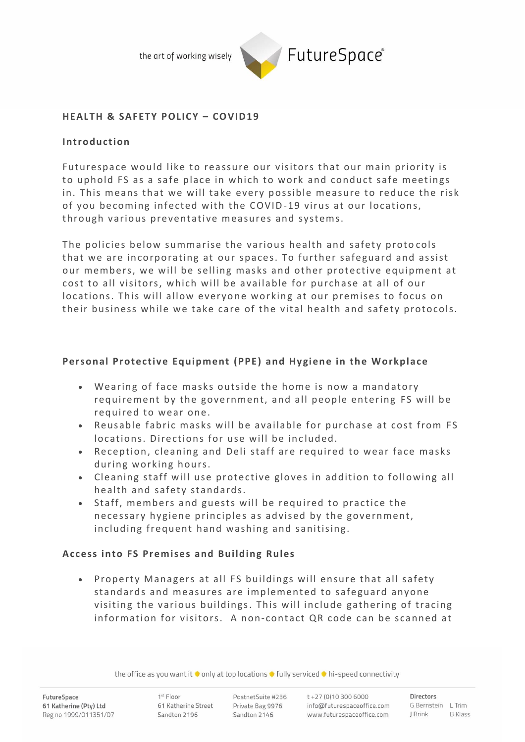the art of working wisely



### **HEALT H & SAFETY POLICY – CO VID19**

### **Introduction**

Futurespace would like to reassure our visitors that our main priority is to uphold FS as a safe place in which to work and conduct safe meetings in. This means that we will take every possible measure to reduce the risk of you becoming infected with the COVID-19 virus at our locations, through various preventative measures and systems.

The policies below summarise the various health and safety protocols that we are incorporating at our spaces. To further safeguard and assist our members, we will be selling masks and other protective equipment at cost to all visitors, which will be available for purchase at all of our locations. This will allow everyone working at our premises to focus on their business while we take care of the vital health and safety protocols.

# Personal Protective Equipment (PPE) and Hygiene in the Workplace

- Wearing of face masks outside the home is now a mandatory requirement by the government, and all people entering FS will be required to wear one.
- Reusable fabric masks will be available for purchase at cost from FS locations. Directions for use will be included.
- Reception, cleaning and Deli staff are required to wear face masks during working hours.
- Cleaning staff will use protective gloves in addition to following all health and safety standards.
- Staff, members and guests will be required to practice the necessary hygiene principles as advised by the government, including frequent hand washing and sanitising.

# Access into FS Premises and Building Rules

• Property Managers at all FS buildings will ensure that all safety standards and measures are implemented to safeguard anyone visiting the various buildings. This will include gathering of tracing information for visitors. A non-contact QR code can be scanned at

the office as you want it  $\bullet$  only at top locations  $\bullet$  fully serviced  $\bullet$  hi-speed connectivity